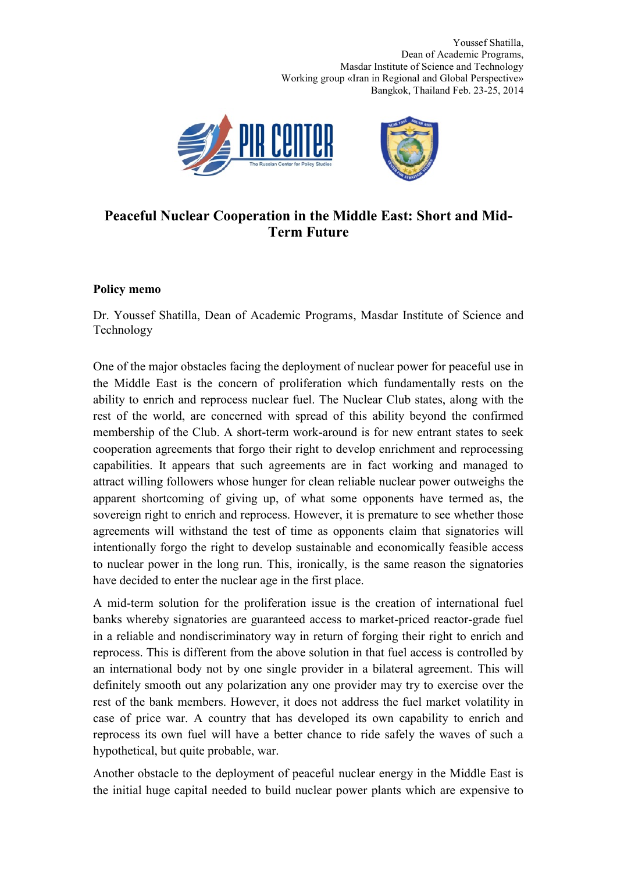Youssef Shatilla, Dean of Academic Programs, Masdar Institute of Science and Technology Working group «Iran in Regional and Global Perspective» Bangkok, Thailand Feb. 23-25, 2014



## **Peaceful Nuclear Cooperation in the Middle East: Short and Mid-Term Future**

## **Policy memo**

Dr. Youssef Shatilla, Dean of Academic Programs, Masdar Institute of Science and Technology

One of the major obstacles facing the deployment of nuclear power for peaceful use in the Middle East is the concern of proliferation which fundamentally rests on the ability to enrich and reprocess nuclear fuel. The Nuclear Club states, along with the rest of the world, are concerned with spread of this ability beyond the confirmed membership of the Club. A short-term work-around is for new entrant states to seek cooperation agreements that forgo their right to develop enrichment and reprocessing capabilities. It appears that such agreements are in fact working and managed to attract willing followers whose hunger for clean reliable nuclear power outweighs the apparent shortcoming of giving up, of what some opponents have termed as, the sovereign right to enrich and reprocess. However, it is premature to see whether those agreements will withstand the test of time as opponents claim that signatories will intentionally forgo the right to develop sustainable and economically feasible access to nuclear power in the long run. This, ironically, is the same reason the signatories have decided to enter the nuclear age in the first place.

A mid-term solution for the proliferation issue is the creation of international fuel banks whereby signatories are guaranteed access to market-priced reactor-grade fuel in a reliable and nondiscriminatory way in return of forging their right to enrich and reprocess. This is different from the above solution in that fuel access is controlled by an international body not by one single provider in a bilateral agreement. This will definitely smooth out any polarization any one provider may try to exercise over the rest of the bank members. However, it does not address the fuel market volatility in case of price war. A country that has developed its own capability to enrich and reprocess its own fuel will have a better chance to ride safely the waves of such a hypothetical, but quite probable, war.

Another obstacle to the deployment of peaceful nuclear energy in the Middle East is the initial huge capital needed to build nuclear power plants which are expensive to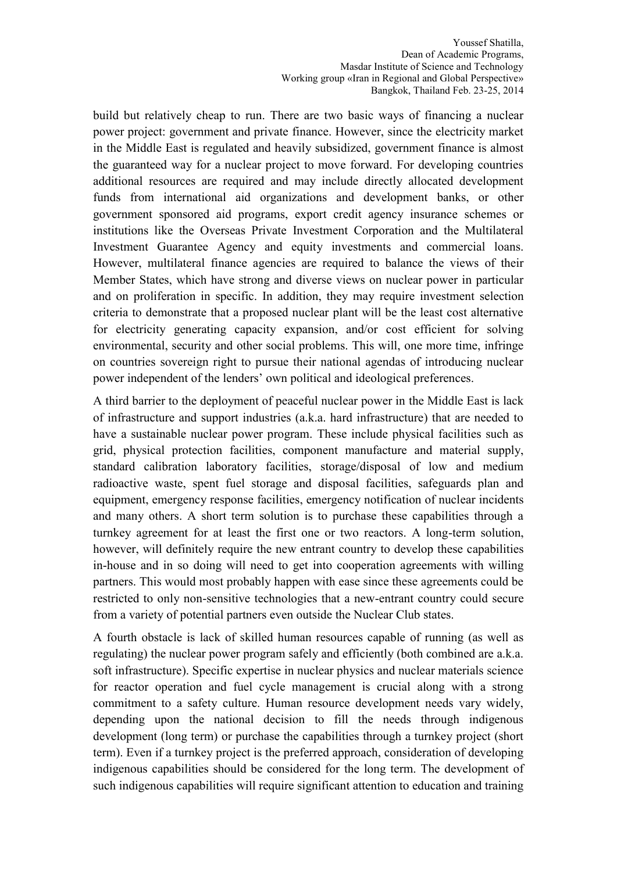Youssef Shatilla, Dean of Academic Programs, Masdar Institute of Science and Technology Working group «Iran in Regional and Global Perspective» Bangkok, Thailand Feb. 23-25, 2014

build but relatively cheap to run. There are two basic ways of financing a nuclear power project: government and private finance. However, since the electricity market in the Middle East is regulated and heavily subsidized, government finance is almost the guaranteed way for a nuclear project to move forward. For developing countries additional resources are required and may include directly allocated development funds from international aid organizations and development banks, or other government sponsored aid programs, export credit agency insurance schemes or institutions like the Overseas Private Investment Corporation and the Multilateral Investment Guarantee Agency and equity investments and commercial loans. However, multilateral finance agencies are required to balance the views of their Member States, which have strong and diverse views on nuclear power in particular and on proliferation in specific. In addition, they may require investment selection criteria to demonstrate that a proposed nuclear plant will be the least cost alternative for electricity generating capacity expansion, and/or cost efficient for solving environmental, security and other social problems. This will, one more time, infringe on countries sovereign right to pursue their national agendas of introducing nuclear power independent of the lenders' own political and ideological preferences.

A third barrier to the deployment of peaceful nuclear power in the Middle East is lack of infrastructure and support industries (a.k.a. hard infrastructure) that are needed to have a sustainable nuclear power program. These include physical facilities such as grid, physical protection facilities, component manufacture and material supply, standard calibration laboratory facilities, storage/disposal of low and medium radioactive waste, spent fuel storage and disposal facilities, safeguards plan and equipment, emergency response facilities, emergency notification of nuclear incidents and many others. A short term solution is to purchase these capabilities through a turnkey agreement for at least the first one or two reactors. A long-term solution, however, will definitely require the new entrant country to develop these capabilities in-house and in so doing will need to get into cooperation agreements with willing partners. This would most probably happen with ease since these agreements could be restricted to only non-sensitive technologies that a new-entrant country could secure from a variety of potential partners even outside the Nuclear Club states.

A fourth obstacle is lack of skilled human resources capable of running (as well as regulating) the nuclear power program safely and efficiently (both combined are a.k.a. soft infrastructure). Specific expertise in nuclear physics and nuclear materials science for reactor operation and fuel cycle management is crucial along with a strong commitment to a safety culture. Human resource development needs vary widely, depending upon the national decision to fill the needs through indigenous development (long term) or purchase the capabilities through a turnkey project (short term). Even if a turnkey project is the preferred approach, consideration of developing indigenous capabilities should be considered for the long term. The development of such indigenous capabilities will require significant attention to education and training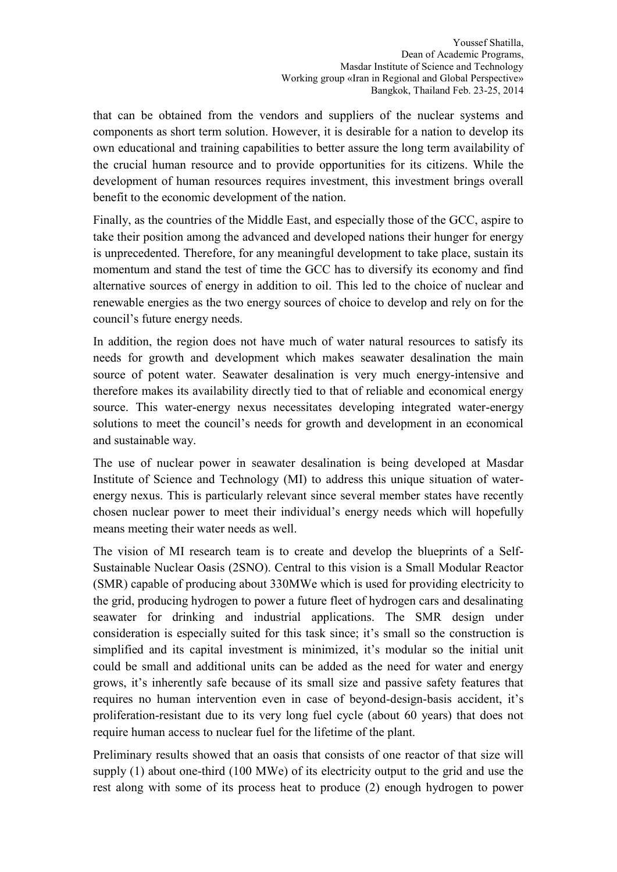that can be obtained from the vendors and suppliers of the nuclear systems and components as short term solution. However, it is desirable for a nation to develop its own educational and training capabilities to better assure the long term availability of the crucial human resource and to provide opportunities for its citizens. While the development of human resources requires investment, this investment brings overall benefit to the economic development of the nation.

Finally, as the countries of the Middle East, and especially those of the GCC, aspire to take their position among the advanced and developed nations their hunger for energy is unprecedented. Therefore, for any meaningful development to take place, sustain its momentum and stand the test of time the GCC has to diversify its economy and find alternative sources of energy in addition to oil. This led to the choice of nuclear and renewable energies as the two energy sources of choice to develop and rely on for the council's future energy needs.

In addition, the region does not have much of water natural resources to satisfy its needs for growth and development which makes seawater desalination the main source of potent water. Seawater desalination is very much energy-intensive and therefore makes its availability directly tied to that of reliable and economical energy source. This water-energy nexus necessitates developing integrated water-energy solutions to meet the council's needs for growth and development in an economical and sustainable way.

The use of nuclear power in seawater desalination is being developed at Masdar Institute of Science and Technology (MI) to address this unique situation of waterenergy nexus. This is particularly relevant since several member states have recently chosen nuclear power to meet their individual's energy needs which will hopefully means meeting their water needs as well.

The vision of MI research team is to create and develop the blueprints of a Self-Sustainable Nuclear Oasis (2SNO). Central to this vision is a Small Modular Reactor (SMR) capable of producing about 330MWe which is used for providing electricity to the grid, producing hydrogen to power a future fleet of hydrogen cars and desalinating seawater for drinking and industrial applications. The SMR design under consideration is especially suited for this task since; it's small so the construction is simplified and its capital investment is minimized, it's modular so the initial unit could be small and additional units can be added as the need for water and energy grows, it's inherently safe because of its small size and passive safety features that requires no human intervention even in case of beyond-design-basis accident, it's proliferation-resistant due to its very long fuel cycle (about 60 years) that does not require human access to nuclear fuel for the lifetime of the plant.

Preliminary results showed that an oasis that consists of one reactor of that size will supply (1) about one-third (100 MWe) of its electricity output to the grid and use the rest along with some of its process heat to produce (2) enough hydrogen to power